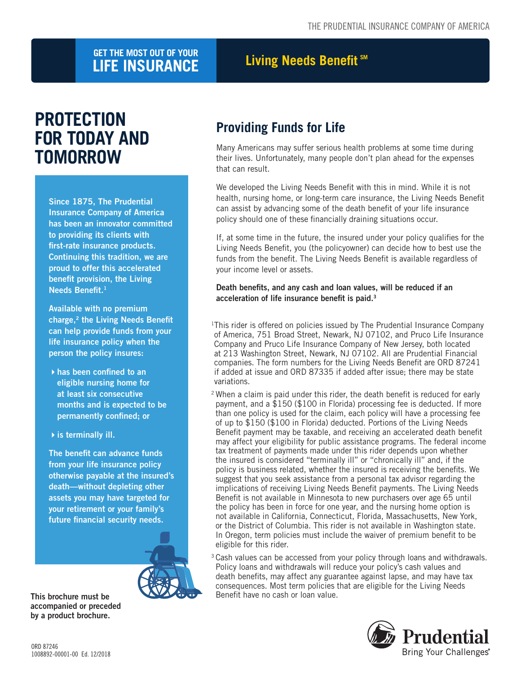## **LIGET THE MOST OUT OF YOUR CONSIDERED BEEF THE MOST OUT OF YOUR LIFE INSURANCE**

# **PROTECTION FOR TODAY AND TOMORROW**

Since 1875, The Prudential Insurance Company of America has been an innovator committed to providing its clients with first-rate insurance products. Continuing this tradition, we are proud to offer this accelerated benefit provision, the Living Needs Benefit.<sup>1</sup>

Available with no premium charge,<sup>2</sup> the Living Needs Benefit can help provide funds from your life insurance policy when the person the policy insures:

- $\blacktriangleright$  has been confined to an eligible nursing home for at least six consecutive months and is expected to be permanently confined; or
- $\rightarrow$  is terminally ill.

The benefit can advance funds from your life insurance policy otherwise payable at the insured's death—without depleting other assets you may have targeted for your retirement or your family's future financial security needs.



accompanied or preceded by a product brochure.

## **Providing Funds for Life**

Many Americans may suffer serious health problems at some time during their lives. Unfortunately, many people don't plan ahead for the expenses that can result.

We developed the Living Needs Benefit with this in mind. While it is not health, nursing home, or long-term care insurance, the Living Needs Benefit can assist by advancing some of the death benefit of your life insurance policy should one of these financially draining situations occur.

If, at some time in the future, the insured under your policy qualifies for the Living Needs Benefit, you (the policyowner) can decide how to best use the funds from the benefit. The Living Needs Benefit is available regardless of your income level or assets.

#### Death benefits, and any cash and loan values, will be reduced if an acceleration of life insurance benefit is paid.3

- <sup>1</sup>This rider is offered on policies issued by The Prudential Insurance Company of America, 751 Broad Street, Newark, NJ 07102, and Pruco Life Insurance Company and Pruco Life Insurance Company of New Jersey, both located at 213 Washington Street, Newark, NJ 07102. All are Prudential Financial companies. The form numbers for the Living Needs Benefit are ORD 87241 if added at issue and ORD 87335 if added after issue; there may be state variations.
- <sup>2</sup> When a claim is paid under this rider, the death benefit is reduced for early payment, and a \$150 (\$100 in Florida) processing fee is deducted. If more than one policy is used for the claim, each policy will have a processing fee of up to \$150 (\$100 in Florida) deducted. Portions of the Living Needs Benefit payment may be taxable, and receiving an accelerated death benefit may affect your eligibility for public assistance programs. The federal income tax treatment of payments made under this rider depends upon whether the insured is considered "terminally ill" or "chronically ill" and, if the policy is business related, whether the insured is receiving the benefits. We suggest that you seek assistance from a personal tax advisor regarding the implications of receiving Living Needs Benefit payments. The Living Needs Benefit is not available in Minnesota to new purchasers over age 65 until the policy has been in force for one year, and the nursing home option is not available in California, Connecticut, Florida, Massachusetts, New York, or the District of Columbia. This rider is not available in Washington state. In Oregon, term policies must include the waiver of premium benefit to be eligible for this rider.
- <sup>3</sup> Cash values can be accessed from your policy through loans and withdrawals. Policy loans and withdrawals will reduce your policy's cash values and death benefits, may affect any guarantee against lapse, and may have tax consequences. Most term policies that are eligible for the Living Needs This brochure must be **Benefit have no cash or loan value.**

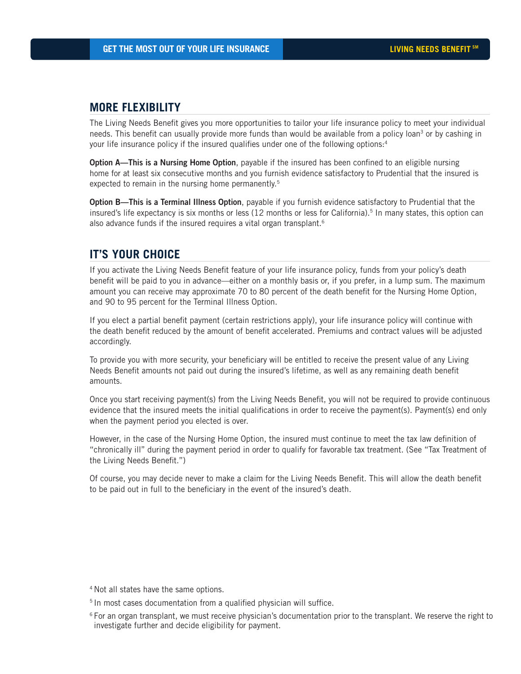#### **MORE FLEXIBILITY**

The Living Needs Benefit gives you more opportunities to tailor your life insurance policy to meet your individual needs. This benefit can usually provide more funds than would be available from a policy loan<sup>3</sup> or by cashing in your life insurance policy if the insured qualifies under one of the following options:4

Option A—This is a Nursing Home Option, payable if the insured has been confined to an eligible nursing home for at least six consecutive months and you furnish evidence satisfactory to Prudential that the insured is expected to remain in the nursing home permanently.<sup>5</sup>

Option B—This is a Terminal Illness Option, payable if you furnish evidence satisfactory to Prudential that the insured's life expectancy is six months or less (12 months or less for California).<sup>5</sup> In many states, this option can also advance funds if the insured requires a vital organ transplant.<sup>6</sup>

### **IT'S YOUR CHOICE**

If you activate the Living Needs Benefit feature of your life insurance policy, funds from your policy's death benefit will be paid to you in advance—either on a monthly basis or, if you prefer, in a lump sum. The maximum amount you can receive may approximate 70 to 80 percent of the death benefit for the Nursing Home Option, and 90 to 95 percent for the Terminal Illness Option.

If you elect a partial benefit payment (certain restrictions apply), your life insurance policy will continue with the death benefit reduced by the amount of benefit accelerated. Premiums and contract values will be adjusted accordingly.

To provide you with more security, your beneficiary will be entitled to receive the present value of any Living Needs Benefit amounts not paid out during the insured's lifetime, as well as any remaining death benefit amounts.

Once you start receiving payment(s) from the Living Needs Benefit, you will not be required to provide continuous evidence that the insured meets the initial qualifications in order to receive the payment(s). Payment(s) end only when the payment period you elected is over.

However, in the case of the Nursing Home Option, the insured must continue to meet the tax law definition of "chronically ill'' during the payment period in order to qualify for favorable tax treatment. (See "Tax Treatment of the Living Needs Benefit.")

Of course, you may decide never to make a claim for the Living Needs Benefit. This will allow the death benefit to be paid out in full to the beneficiary in the event of the insured's death.

<sup>4</sup> Not all states have the same options.

<sup>5</sup> In most cases documentation from a qualified physician will suffice.

 $6$  For an organ transplant, we must receive physician's documentation prior to the transplant. We reserve the right to investigate further and decide eligibility for payment.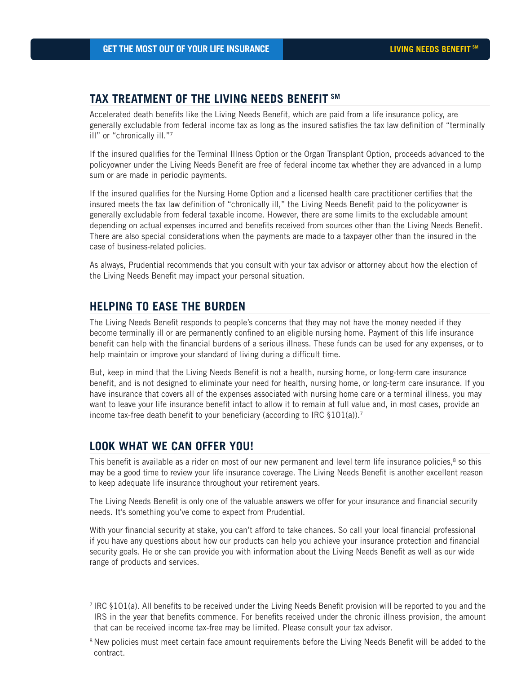#### **TAX TREATMENT OF THE LIVING NEEDS BENEFIT SM**

Accelerated death benefits like the Living Needs Benefit, which are paid from a life insurance policy, are generally excludable from federal income tax as long as the insured satisfies the tax law definition of "terminally ill" or "chronically ill."7

If the insured qualifies for the Terminal Illness Option or the Organ Transplant Option, proceeds advanced to the policyowner under the Living Needs Benefit are free of federal income tax whether they are advanced in a lump sum or are made in periodic payments.

If the insured qualifies for the Nursing Home Option and a licensed health care practitioner certifies that the insured meets the tax law definition of "chronically ill," the Living Needs Benefit paid to the policyowner is generally excludable from federal taxable income. However, there are some limits to the excludable amount depending on actual expenses incurred and benefits received from sources other than the Living Needs Benefit. There are also special considerations when the payments are made to a taxpayer other than the insured in the case of business-related policies.

As always, Prudential recommends that you consult with your tax advisor or attorney about how the election of the Living Needs Benefit may impact your personal situation.

#### **HELPING TO EASE THE BURDEN**

The Living Needs Benefit responds to people's concerns that they may not have the money needed if they become terminally ill or are permanently confined to an eligible nursing home. Payment of this life insurance benefit can help with the financial burdens of a serious illness. These funds can be used for any expenses, or to help maintain or improve your standard of living during a difficult time.

But, keep in mind that the Living Needs Benefit is not a health, nursing home, or long-term care insurance benefit, and is not designed to eliminate your need for health, nursing home, or long-term care insurance. If you have insurance that covers all of the expenses associated with nursing home care or a terminal illness, you may want to leave your life insurance benefit intact to allow it to remain at full value and, in most cases, provide an income tax-free death benefit to your beneficiary (according to IRC  $\S 101(a)$ ).<sup>7</sup>

#### **LOOK WHAT WE CAN OFFER YOU!**

This benefit is available as a rider on most of our new permanent and level term life insurance policies,<sup>8</sup> so this may be a good time to review your life insurance coverage. The Living Needs Benefit is another excellent reason to keep adequate life insurance throughout your retirement years.

The Living Needs Benefit is only one of the valuable answers we offer for your insurance and financial security needs. It's something you've come to expect from Prudential.

With your financial security at stake, you can't afford to take chances. So call your local financial professional if you have any questions about how our products can help you achieve your insurance protection and financial security goals. He or she can provide you with information about the Living Needs Benefit as well as our wide range of products and services.

<sup>7</sup> IRC §101(a). All benefits to be received under the Living Needs Benefit provision will be reported to you and the IRS in the year that benefits commence. For benefits received under the chronic illness provision, the amount that can be received income tax-free may be limited. Please consult your tax advisor.

 $8$ New policies must meet certain face amount requirements before the Living Needs Benefit will be added to the contract.